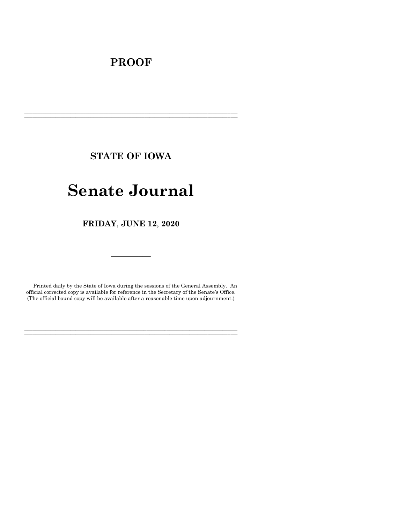# **PROOF**

**STATE OF IOWA**

**\_\_\_\_\_\_\_\_\_\_\_\_\_\_\_\_\_\_\_\_\_\_\_\_\_\_\_\_\_\_\_\_\_\_\_\_\_\_\_\_\_\_\_\_\_\_\_\_\_\_\_\_\_\_\_\_\_\_\_\_\_\_\_\_\_\_\_\_\_\_\_\_\_\_\_\_\_\_\_\_\_\_\_\_\_\_\_\_\_\_\_\_\_\_\_\_\_\_\_\_\_\_\_\_\_\_\_\_\_\_\_\_\_\_\_\_\_\_\_\_\_\_\_\_\_\_\_\_\_ \_\_\_\_\_\_\_\_\_\_\_\_\_\_\_\_\_\_\_\_\_\_\_\_\_\_\_\_\_\_\_\_\_\_\_\_\_\_\_\_\_\_\_\_\_\_\_\_\_\_\_\_\_\_\_\_\_\_\_\_\_\_\_\_\_\_\_\_\_\_\_\_\_\_\_\_\_\_\_\_\_\_\_\_\_\_\_\_\_\_\_\_\_\_\_\_\_\_\_\_\_\_\_\_\_\_\_\_\_\_\_\_\_\_\_\_\_\_\_\_\_\_\_\_\_\_\_\_\_**

# **Senate Journal**

**FRIDAY**, **JUNE 12**, **2020**

Printed daily by the State of Iowa during the sessions of the General Assembly. An official corrected copy is available for reference in the Secretary of the Senate's Office. (The official bound copy will be available after a reasonable time upon adjournment.)

**\_\_\_\_\_\_\_\_\_\_\_\_\_\_\_\_\_\_\_\_\_\_\_\_\_\_\_\_\_\_\_\_\_\_\_\_\_\_\_\_\_\_\_\_\_\_\_\_\_\_\_\_\_\_\_\_\_\_\_\_\_\_\_\_\_\_\_\_\_\_\_\_\_\_\_\_\_\_\_\_\_\_\_\_\_\_\_\_\_\_\_\_\_\_\_\_\_\_\_\_\_\_\_\_\_\_\_\_\_\_\_\_\_\_\_\_\_\_\_\_\_\_\_\_\_\_\_\_\_ \_\_\_\_\_\_\_\_\_\_\_\_\_\_\_\_\_\_\_\_\_\_\_\_\_\_\_\_\_\_\_\_\_\_\_\_\_\_\_\_\_\_\_\_\_\_\_\_\_\_\_\_\_\_\_\_\_\_\_\_\_\_\_\_\_\_\_\_\_\_\_\_\_\_\_\_\_\_\_\_\_\_\_\_\_\_\_\_\_\_\_\_\_\_\_\_\_\_\_\_\_\_\_\_\_\_\_\_\_\_\_\_\_\_\_\_\_\_\_\_\_\_\_\_\_\_\_\_\_**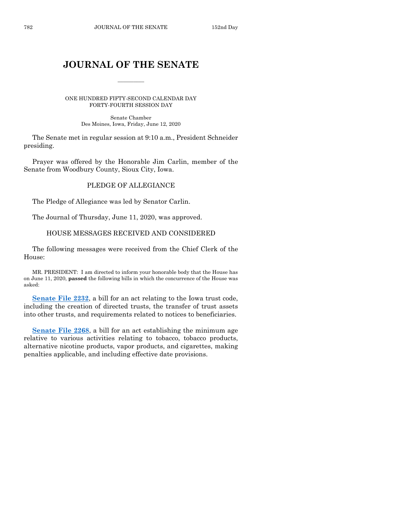## **JOURNAL OF THE SENATE**

 $\frac{1}{2}$ 

ONE HUNDRED FIFTY-SECOND CALENDAR DAY FORTY-FOURTH SESSION DAY

> Senate Chamber Des Moines, Iowa, Friday, June 12, 2020

The Senate met in regular session at 9:10 a.m., President Schneider presiding.

Prayer was offered by the Honorable Jim Carlin, member of the Senate from Woodbury County, Sioux City, Iowa.

## PLEDGE OF ALLEGIANCE

The Pledge of Allegiance was led by Senator Carlin.

The Journal of Thursday, June 11, 2020, was approved.

## HOUSE MESSAGES RECEIVED AND CONSIDERED

The following messages were received from the Chief Clerk of the House:

MR. PRESIDENT: I am directed to inform your honorable body that the House has on June 11, 2020, **passed** the following bills in which the concurrence of the House was asked:

**[Senate File 2232](https://www.legis.iowa.gov/legislation/BillBook?ga=88&ba=SF2232)**, a bill for an act relating to the Iowa trust code, including the creation of directed trusts, the transfer of trust assets into other trusts, and requirements related to notices to beneficiaries.

**[Senate File 2268](https://www.legis.iowa.gov/legislation/BillBook?ga=88&ba=SF2268)**, a bill for an act establishing the minimum age relative to various activities relating to tobacco, tobacco products, alternative nicotine products, vapor products, and cigarettes, making penalties applicable, and including effective date provisions.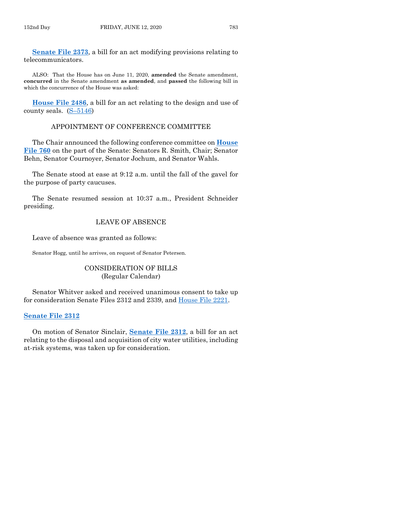**[Senate File 2373](https://www.legis.iowa.gov/legislation/BillBook?ga=88&ba=SF2373)**, a bill for an act modifying provisions relating to telecommunicators.

ALSO: That the House has on June 11, 2020, **amended** the Senate amendment, **concurred** in the Senate amendment **as amended**, and **passed** the following bill in which the concurrence of the House was asked:

**[House File 2486](https://www.legis.iowa.gov/legislation/BillBook?ga=88&ba=HF2486)**, a bill for an act relating to the design and use of county seals.  $(S-5146)$  $(S-5146)$ 

## APPOINTMENT OF CONFERENCE COMMITTEE

The Chair announced the following conference committee on **[House](https://www.legis.iowa.gov/legislation/BillBook?ga=88&ba=HF760)  [File 760](https://www.legis.iowa.gov/legislation/BillBook?ga=88&ba=HF760)** on the part of the Senate: Senators R. Smith, Chair; Senator Behn, Senator Cournoyer, Senator Jochum, and Senator Wahls.

The Senate stood at ease at 9:12 a.m. until the fall of the gavel for the purpose of party caucuses.

The Senate resumed session at 10:37 a.m., President Schneider presiding.

## LEAVE OF ABSENCE

Leave of absence was granted as follows:

Senator Hogg, until he arrives, on request of Senator Petersen.

## CONSIDERATION OF BILLS (Regular Calendar)

Senator Whitver asked and received unanimous consent to take up for consideration Senate Files 2312 and 2339, and [House File 2221.](https://www.legis.iowa.gov/legislation/BillBook?ga=88&ba=HF2221)

## **[Senate File 2312](https://www.legis.iowa.gov/legislation/BillBook?ga=88&ba=SF2312)**

On motion of Senator Sinclair, **[Senate File 2312](https://www.legis.iowa.gov/legislation/BillBook?ga=88&ba=SF2312)**, a bill for an act relating to the disposal and acquisition of city water utilities, including at-risk systems, was taken up for consideration.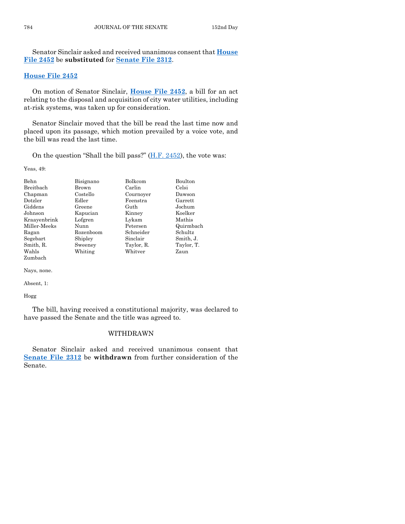Senator Sinclair asked and received unanimous consent that **[House](https://www.legis.iowa.gov/legislation/BillBook?ga=88&ba=HF2452)  [File 2452](https://www.legis.iowa.gov/legislation/BillBook?ga=88&ba=HF2452)** be **substituted** for **[Senate File 2312](https://www.legis.iowa.gov/legislation/BillBook?ga=88&ba=SF2312)**.

## **[House File 2452](https://www.legis.iowa.gov/legislation/BillBook?ga=88&ba=HF2452)**

On motion of Senator Sinclair, **[House File 2452](https://www.legis.iowa.gov/legislation/BillBook?ga=88&ba=HF2452)**, a bill for an act relating to the disposal and acquisition of city water utilities, including at-risk systems, was taken up for consideration.

Senator Sinclair moved that the bill be read the last time now and placed upon its passage, which motion prevailed by a voice vote, and the bill was read the last time.

On the question "Shall the bill pass?"  $(H.F. 2452)$ , the vote was:

Yeas, 49:

| <b>Behn</b>  | Bisignano | <b>Bolkcom</b> | <b>Boulton</b> |
|--------------|-----------|----------------|----------------|
| Breitbach    | Brown     | Carlin         | Celsi          |
| Chapman      | Costello  | Cournoyer      | Dawson         |
| Dotzler      | Edler     | Feenstra       | Garrett        |
| Giddens      | Greene    | Guth           | Jochum         |
| Johnson      | Kapucian  | Kinney         | Koelker        |
| Kraayenbrink | Lofgren   | Lykam          | Mathis         |
| Miller-Meeks | Nunn      | Petersen       | Quirmbach      |
| Ragan        | Rozenboom | Schneider      | Schultz        |
| Segebart     | Shipley   | Sinclair       | Smith, J.      |
| Smith, R.    | Sweeney   | Taylor, R.     | Taylor, T.     |
| Wahls        | Whiting   | Whitver        | Zaun           |
| Zumbach      |           |                |                |

Nays, none.

Absent, 1:

Hogg

The bill, having received a constitutional majority, was declared to have passed the Senate and the title was agreed to.

## WITHDRAWN

Senator Sinclair asked and received unanimous consent that **[Senate File 2312](https://www.legis.iowa.gov/legislation/BillBook?ga=88&ba=SF2312)** be **withdrawn** from further consideration of the Senate.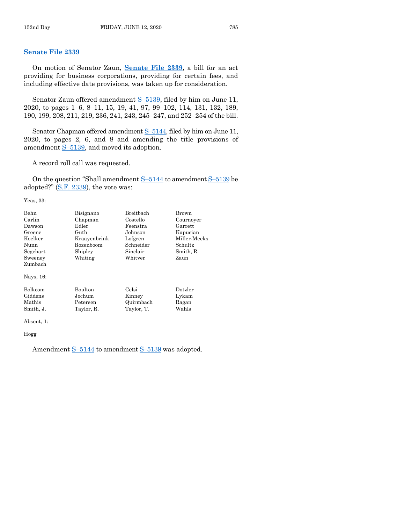## **[Senate File 2339](https://www.legis.iowa.gov/legislation/BillBook?ga=88&ba=SF2339)**

On motion of Senator Zaun, **[Senate File 2339](https://www.legis.iowa.gov/legislation/BillBook?ga=88&ba=SF2339)**, a bill for an act providing for business corporations, providing for certain fees, and including effective date provisions, was taken up for consideration.

Senator Zaun offered amendment S–[5139,](https://www.legis.iowa.gov/legislation/BillBook?ga=88&ba=S5139) filed by him on June 11, 2020, to pages 1–6, 8–11, 15, 19, 41, 97, 99–102, 114, 131, 132, 189, 190, 199, 208, 211, 219, 236, 241, 243, 245–247, and 252–254 of the bill.

Senator Chapman offered amendment S–[5144,](https://www.legis.iowa.gov/legislation/BillBook?ga=88&ba=S5144) filed by him on June 11, 2020, to pages 2, 6, and 8 and amending the title provisions of amendment S–[5139,](https://www.legis.iowa.gov/legislation/BillBook?ga=88&ba=S5139) and moved its adoption.

A record roll call was requested.

On the question "Shall amendment  $S-5144$  $S-5144$  to amendment  $S-5139$  $S-5139$  be adopted?"  $(S.F. 2339)$ , the vote was:

Yeas, 33:

| Behn           | Bisignano      | Breithach  | Brown        |
|----------------|----------------|------------|--------------|
| Carlin         | Chapman        | Costello   | Cournoyer    |
| Dawson         | Edler          | Feenstra   | Garrett      |
| Greene         | Guth           | Johnson    | Kapucian     |
| Koelker        | Kraavenbrink   | Lofgren    | Miller-Meeks |
| Nunn           | Rozenboom      | Schneider  | Schultz      |
| Segebart       | Shipley        | Sinclair   | Smith, R.    |
| Sweeney        | Whiting        | Whitver    | Zaun         |
| Zumbach        |                |            |              |
| Nays, 16:      |                |            |              |
| <b>Bolkcom</b> | <b>Boulton</b> | Celsi      | Dotzler      |
| Giddens        | Jochum         | Kinney     | Lykam        |
| Mathis         | Petersen       | Quirmbach  | Ragan        |
| Smith, J.      | Taylor, R.     | Taylor, T. | Wahls        |
|                |                |            |              |

Absent, 1:

Hogg

Amendment  $S-5144$  $S-5144$  to amendment  $S-5139$  $S-5139$  was adopted.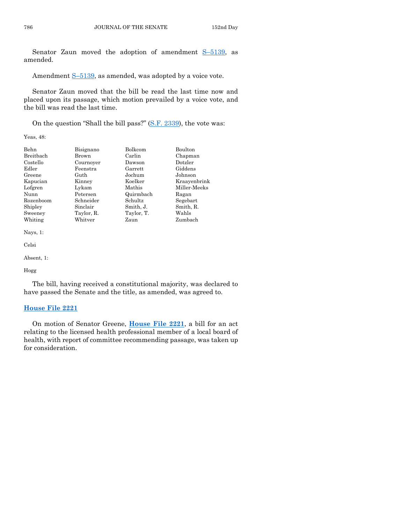Senator Zaun moved the adoption of amendment S–[5139,](https://www.legis.iowa.gov/legislation/BillBook?ga=88&ba=S5139) as amended.

Amendment S-[5139,](https://www.legis.iowa.gov/legislation/BillBook?ga=88&ba=S5139) as amended, was adopted by a voice vote.

Senator Zaun moved that the bill be read the last time now and placed upon its passage, which motion prevailed by a voice vote, and the bill was read the last time.

On the question "Shall the bill pass?" [\(S.F. 2339\)](https://www.legis.iowa.gov/legislation/BillBook?ga=88&ba=SF2339), the vote was:

Yeas, 48:

| Chapman      |
|--------------|
|              |
|              |
|              |
|              |
| Kraayenbrink |
| Miller-Meeks |
|              |
|              |
|              |
|              |
|              |
|              |

Nays, 1:

Celsi

Absent, 1:

#### Hogg

The bill, having received a constitutional majority, was declared to have passed the Senate and the title, as amended, was agreed to.

## **[House File 2221](https://www.legis.iowa.gov/legislation/BillBook?ga=88&ba=HF2221)**

On motion of Senator Greene, **[House File 2221](https://www.legis.iowa.gov/legislation/BillBook?ga=88&ba=HF2221)**, a bill for an act relating to the licensed health professional member of a local board of health, with report of committee recommending passage, was taken up for consideration.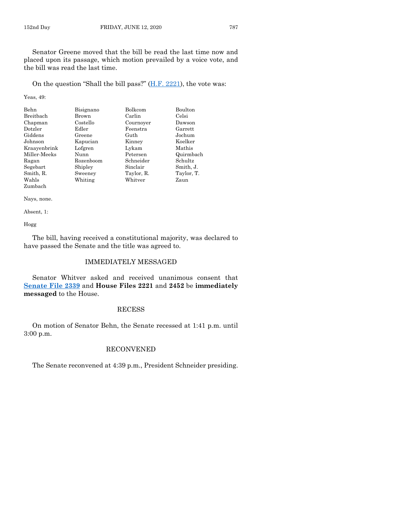On the question "Shall the bill pass?" [\(H.F. 2221\)](https://www.legis.iowa.gov/legislation/BillBook?ga=88&ba=HF2221), the vote was:

Yeas, 49:

| Behn             | Bisignano | <b>Bolkcom</b> | <b>Boulton</b> |
|------------------|-----------|----------------|----------------|
| <b>Breitbach</b> | Brown     | Carlin         | Celsi          |
| Chapman          | Costello  | Cournoyer      | Dawson         |
| Dotzler          | Edler     | Feenstra       | Garrett        |
| Giddens          | Greene    | Guth           | Jochum         |
| Johnson          | Kapucian  | Kinney         | Koelker        |
| Kraayenbrink     | Lofgren   | Lykam          | Mathis         |
| Miller-Meeks     | Nunn      | Petersen       | Quirmbach      |
| Ragan            | Rozenboom | Schneider      | Schultz        |
| Segebart         | Shipley   | Sinclair       | Smith, J.      |
| Smith, R.        | Sweeney   | Taylor, R.     | Taylor, T.     |
| Wahls            | Whiting   | Whitver        | Zaun           |
| Zumbach          |           |                |                |

Nays, none.

Absent, 1:

Hogg

The bill, having received a constitutional majority, was declared to have passed the Senate and the title was agreed to.

## IMMEDIATELY MESSAGED

Senator Whitver asked and received unanimous consent that **[Senate File 2339](https://www.legis.iowa.gov/legislation/BillBook?ga=88&ba=SF2339)** and **House Files 2221** and **2452** be **immediately messaged** to the House.

## RECESS

On motion of Senator Behn, the Senate recessed at 1:41 p.m. until 3:00 p.m.

## RECONVENED

The Senate reconvened at 4:39 p.m., President Schneider presiding.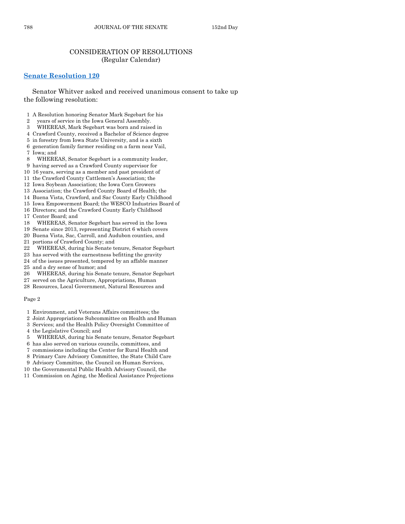## CONSIDERATION OF RESOLUTIONS (Regular Calendar)

## **[Senate Resolution 120](https://www.legis.iowa.gov/legislation/BillBook?ga=88&ba=SR120)**

Senator Whitver asked and received unanimous consent to take up the following resolution:

- 1 A Resolution honoring Senator Mark Segebart for his
- 2 years of service in the Iowa General Assembly.
- 3 WHEREAS, Mark Segebart was born and raised in
- 4 Crawford County, received a Bachelor of Science degree
- 5 in forestry from Iowa State University, and is a sixth
- 6 generation family farmer residing on a farm near Vail,
- 7 Iowa; and
- 8 WHEREAS, Senator Segebart is a community leader,
- 9 having served as a Crawford County supervisor for
- 10 16 years, serving as a member and past president of
- 11 the Crawford County Cattlemen's Association; the
- 12 Iowa Soybean Association; the Iowa Corn Growers
- 13 Association; the Crawford County Board of Health; the
- 14 Buena Vista, Crawford, and Sac County Early Childhood
- 15 Iowa Empowerment Board; the WESCO Industries Board of
- 16 Directors; and the Crawford County Early Childhood
- 17 Center Board; and
- 18 WHEREAS, Senator Segebart has served in the Iowa
- 19 Senate since 2013, representing District 6 which covers
- 20 Buena Vista, Sac, Carroll, and Audubon counties, and
- 21 portions of Crawford County; and
- 22 WHEREAS, during his Senate tenure, Senator Segebart
- 23 has served with the earnestness befitting the gravity
- 24 of the issues presented, tempered by an affable manner
- 25 and a dry sense of humor; and
- 26 WHEREAS, during his Senate tenure, Senator Segebart
- 27 served on the Agriculture, Appropriations, Human
- 28 Resources, Local Government, Natural Resources and

#### Page 2

- 1 Environment, and Veterans Affairs committees; the
- 2 Joint Appropriations Subcommittee on Health and Human
- 3 Services; and the Health Policy Oversight Committee of
- 4 the Legislative Council; and
- 5 WHEREAS, during his Senate tenure, Senator Segebart
- 6 has also served on various councils, committees, and
- 7 commissions including the Center for Rural Health and
- 8 Primary Care Advisory Committee, the State Child Care
- 9 Advisory Committee, the Council on Human Services,
- 10 the Governmental Public Health Advisory Council, the
- 11 Commission on Aging, the Medical Assistance Projections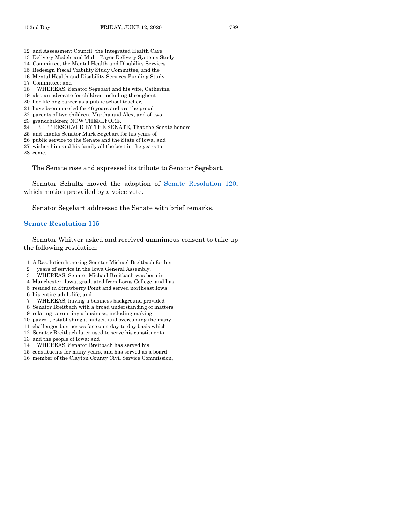- 12 and Assessment Council, the Integrated Health Care
- 13 Delivery Models and Multi-Payer Delivery Systems Study
- 14 Committee, the Mental Health and Disability Services
- 15 Redesign Fiscal Viability Study Committee, and the
- 16 Mental Health and Disability Services Funding Study
- 17 Committee; and
- 18 WHEREAS, Senator Segebart and his wife, Catherine,
- 19 also an advocate for children including throughout
- 20 her lifelong career as a public school teacher,
- 21 have been married for 46 years and are the proud
- 22 parents of two children, Martha and Alex, and of two
- 23 grandchildren; NOW THEREFORE,
- 24 BE IT RESOLVED BY THE SENATE, That the Senate honors
- 25 and thanks Senator Mark Segebart for his years of
- 26 public service to the Senate and the State of Iowa, and
- 27 wishes him and his family all the best in the years to
- 28 come.

The Senate rose and expressed its tribute to Senator Segebart.

Senator Schultz moved the adoption of [Senate Resolution 120,](https://www.legis.iowa.gov/legislation/BillBook?ga=88&ba=SR120) which motion prevailed by a voice vote.

Senator Segebart addressed the Senate with brief remarks.

## **[Senate Resolution 115](https://www.legis.iowa.gov/legislation/BillBook?ga=88&ba=SR115)**

Senator Whitver asked and received unanimous consent to take up the following resolution:

- 1 A Resolution honoring Senator Michael Breitbach for his
- 2 years of service in the Iowa General Assembly.
- 3 WHEREAS, Senator Michael Breitbach was born in
- 4 Manchester, Iowa, graduated from Loras College, and has
- 5 resided in Strawberry Point and served northeast Iowa
- 6 his entire adult life; and
- 7 WHEREAS, having a business background provided
- 8 Senator Breitbach with a broad understanding of matters
- 9 relating to running a business, including making
- 10 payroll, establishing a budget, and overcoming the many
- 11 challenges businesses face on a day-to-day basis which
- 12 Senator Breitbach later used to serve his constituents
- 13 and the people of Iowa; and
- 14 WHEREAS, Senator Breitbach has served his
- 15 constituents for many years, and has served as a board
- 16 member of the Clayton County Civil Service Commission,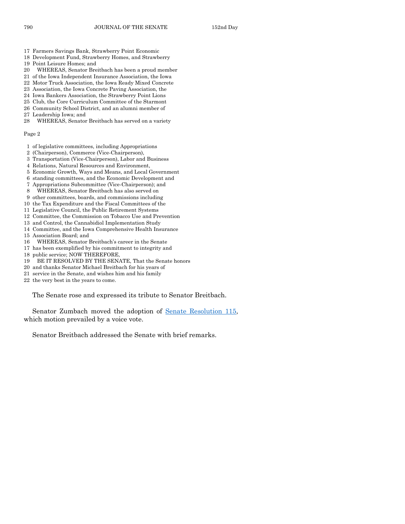- 17 Farmers Savings Bank, Strawberry Point Economic
- 18 Development Fund, Strawberry Homes, and Strawberry
- 19 Point Leisure Homes; and
- 20 WHEREAS, Senator Breitbach has been a proud member
- 21 of the Iowa Independent Insurance Association, the Iowa
- 22 Motor Truck Association, the Iowa Ready Mixed Concrete
- 23 Association, the Iowa Concrete Paving Association, the
- 24 Iowa Bankers Association, the Strawberry Point Lions
- 25 Club, the Core Curriculum Committee of the Starmont
- 26 Community School District, and an alumni member of
- 27 Leadership Iowa; and
- 28 WHEREAS, Senator Breitbach has served on a variety

#### Page 2

- 1 of legislative committees, including Appropriations
- 2 (Chairperson), Commerce (Vice-Chairperson),
- 3 Transportation (Vice-Chairperson), Labor and Business
- 4 Relations, Natural Resources and Environment,
- 5 Economic Growth, Ways and Means, and Local Government
- 6 standing committees, and the Economic Development and
- 7 Appropriations Subcommittee (Vice-Chairperson); and
- 8 WHEREAS, Senator Breitbach has also served on
- 9 other committees, boards, and commissions including
- 10 the Tax Expenditure and the Fiscal Committees of the
- 11 Legislative Council, the Public Retirement Systems
- 12 Committee, the Commission on Tobacco Use and Prevention
- 13 and Control, the Cannabidiol Implementation Study
- 14 Committee, and the Iowa Comprehensive Health Insurance
- 15 Association Board; and
- 16 WHEREAS, Senator Breitbach's career in the Senate
- 17 has been exemplified by his commitment to integrity and
- 18 public service; NOW THEREFORE,
- 19 BE IT RESOLVED BY THE SENATE, That the Senate honors
- 20 and thanks Senator Michael Breitbach for his years of
- 21 service in the Senate, and wishes him and his family
- 22 the very best in the years to come.

The Senate rose and expressed its tribute to Senator Breitbach.

Senator Zumbach moved the adoption of [Senate Resolution 115,](https://www.legis.iowa.gov/legislation/BillBook?ga=88&ba=SR115) which motion prevailed by a voice vote.

Senator Breitbach addressed the Senate with brief remarks.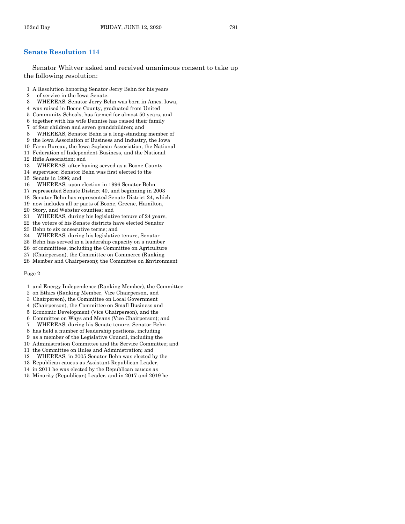## **[Senate Resolution 114](https://www.legis.iowa.gov/legislation/BillBook?ga=88&ba=SR114)**

Senator Whitver asked and received unanimous consent to take up the following resolution:

- 1 A Resolution honoring Senator Jerry Behn for his years
- 2 of service in the Iowa Senate.
- 3 WHEREAS, Senator Jerry Behn was born in Ames, Iowa,
- 4 was raised in Boone County, graduated from United
- 5 Community Schools, has farmed for almost 50 years, and
- 6 together with his wife Dennise has raised their family
- 7 of four children and seven grandchildren; and
- 8 WHEREAS, Senator Behn is a long-standing member of
- 9 the Iowa Association of Business and Industry, the Iowa
- 10 Farm Bureau, the Iowa Soybean Association, the National
- 11 Federation of Independent Business, and the National
- 12 Rifle Association; and
- 13 WHEREAS, after having served as a Boone County
- 14 supervisor; Senator Behn was first elected to the
- 15 Senate in 1996; and
- 16 WHEREAS, upon election in 1996 Senator Behn
- 17 represented Senate District 40, and beginning in 2003
- 18 Senator Behn has represented Senate District 24, which
- 19 now includes all or parts of Boone, Greene, Hamilton,
- 20 Story, and Webster counties; and
- 21 WHEREAS, during his legislative tenure of 24 years,
- 22 the voters of his Senate districts have elected Senator
- 23 Behn to six consecutive terms; and
- 24 WHEREAS, during his legislative tenure, Senator
- 25 Behn has served in a leadership capacity on a number
- 26 of committees, including the Committee on Agriculture
- 27 (Chairperson), the Committee on Commerce (Ranking
- 28 Member and Chairperson); the Committee on Environment

#### Page 2

- 1 and Energy Independence (Ranking Member), the Committee
- 2 on Ethics (Ranking Member, Vice Chairperson, and
- 3 Chairperson), the Committee on Local Government
- 4 (Chairperson), the Committee on Small Business and
- 5 Economic Development (Vice Chairperson), and the
- 6 Committee on Ways and Means (Vice Chairperson); and
- 7 WHEREAS, during his Senate tenure, Senator Behn
- 8 has held a number of leadership positions, including
- 9 as a member of the Legislative Council, including the
- 10 Administration Committee and the Service Committee; and
- 11 the Committee on Rules and Administration; and
- 12 WHEREAS, in 2005 Senator Behn was elected by the
- 13 Republican caucus as Assistant Republican Leader,
- 14 in 2011 he was elected by the Republican caucus as
- 15 Minority (Republican) Leader, and in 2017 and 2019 he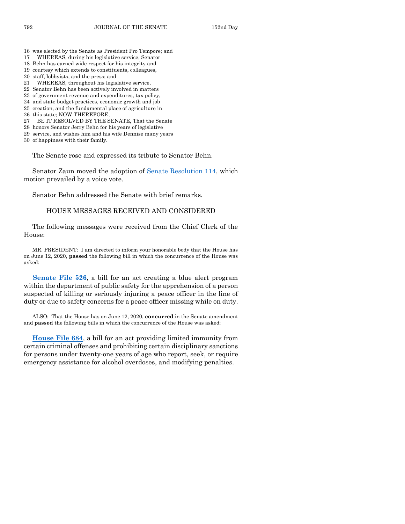- 16 was elected by the Senate as President Pro Tempore; and
- 17 WHEREAS, during his legislative service, Senator
- 18 Behn has earned wide respect for his integrity and
- 19 courtesy which extends to constituents, colleagues,
- 20 staff, lobbyists, and the press; and
- 21 WHEREAS, throughout his legislative service,
- 22 Senator Behn has been actively involved in matters
- 23 of government revenue and expenditures, tax policy, 24 and state budget practices, economic growth and job
- 25 creation, and the fundamental place of agriculture in
- 
- 26 this state; NOW THEREFORE,
- 27 BE IT RESOLVED BY THE SENATE, That the Senate
- 28 honors Senator Jerry Behn for his years of legislative
- 29 service, and wishes him and his wife Dennise many years
- 30 of happiness with their family.

The Senate rose and expressed its tribute to Senator Behn.

Senator Zaun moved the adoption of [Senate Resolution 114,](https://www.legis.iowa.gov/legislation/BillBook?ga=88&ba=SR114) which motion prevailed by a voice vote.

Senator Behn addressed the Senate with brief remarks.

## HOUSE MESSAGES RECEIVED AND CONSIDERED

The following messages were received from the Chief Clerk of the House:

MR. PRESIDENT: I am directed to inform your honorable body that the House has on June 12, 2020, **passed** the following bill in which the concurrence of the House was asked:

**[Senate File 526](https://www.legis.iowa.gov/legislation/BillBook?ga=88&ba=SF526)**, a bill for an act creating a blue alert program within the department of public safety for the apprehension of a person suspected of killing or seriously injuring a peace officer in the line of duty or due to safety concerns for a peace officer missing while on duty.

ALSO: That the House has on June 12, 2020, **concurred** in the Senate amendment and **passed** the following bills in which the concurrence of the House was asked:

**[House File 684](https://www.legis.iowa.gov/legislation/BillBook?ga=88&ba=HF684)**, a bill for an act providing limited immunity from certain criminal offenses and prohibiting certain disciplinary sanctions for persons under twenty-one years of age who report, seek, or require emergency assistance for alcohol overdoses, and modifying penalties.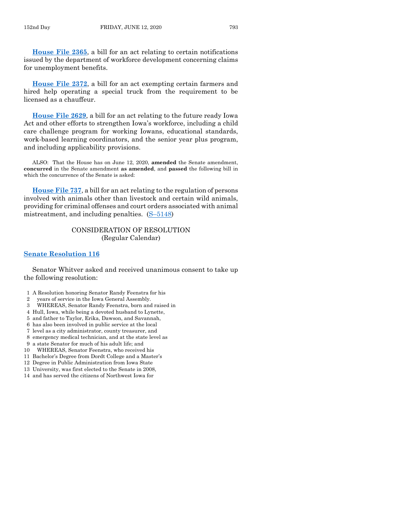**[House File 2365](https://www.legis.iowa.gov/legislation/BillBook?ga=88&ba=HF2365)**, a bill for an act relating to certain notifications issued by the department of workforce development concerning claims for unemployment benefits.

**[House File 2372](https://www.legis.iowa.gov/legislation/BillBook?ga=88&ba=HF2372)**, a bill for an act exempting certain farmers and hired help operating a special truck from the requirement to be licensed as a chauffeur.

**[House File 2629](https://www.legis.iowa.gov/legislation/BillBook?ga=88&ba=HF2629)**, a bill for an act relating to the future ready Iowa Act and other efforts to strengthen Iowa's workforce, including a child care challenge program for working Iowans, educational standards, work-based learning coordinators, and the senior year plus program, and including applicability provisions.

ALSO: That the House has on June 12, 2020, **amended** the Senate amendment, **concurred** in the Senate amendment **as amended**, and **passed** the following bill in which the concurrence of the Senate is asked:

**[House File 737](https://www.legis.iowa.gov/legislation/BillBook?ga=88&ba=HF737)**, a bill for an act relating to the regulation of persons involved with animals other than livestock and certain wild animals, providing for criminal offenses and court orders associated with animal mistreatment, and including penalties.  $(S-5148)$  $(S-5148)$ 

## CONSIDERATION OF RESOLUTION (Regular Calendar)

#### **[Senate Resolution 116](https://www.legis.iowa.gov/legislation/BillBook?ga=88&ba=SR116)**

Senator Whitver asked and received unanimous consent to take up the following resolution:

- 1 A Resolution honoring Senator Randy Feenstra for his
- 2 years of service in the Iowa General Assembly.
- 3 WHEREAS, Senator Randy Feenstra, born and raised in
- 4 Hull, Iowa, while being a devoted husband to Lynette,
- 5 and father to Taylor, Erika, Dawson, and Savannah,
- 6 has also been involved in public service at the local
- 7 level as a city administrator, county treasurer, and
- 8 emergency medical technician, and at the state level as
- 9 a state Senator for much of his adult life; and
- 10 WHEREAS, Senator Feenstra, who received his
- 11 Bachelor's Degree from Dordt College and a Master's
- 12 Degree in Public Administration from Iowa State
- 13 University, was first elected to the Senate in 2008,
- 14 and has served the citizens of Northwest Iowa for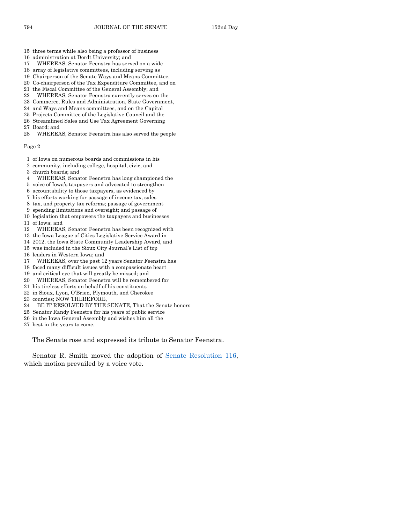- 15 three terms while also being a professor of business
- 16 administration at Dordt University; and
- 17 WHEREAS, Senator Feenstra has served on a wide
- 18 array of legislative committees, including serving as
- 19 Chairperson of the Senate Ways and Means Committee,
- 20 Co-chairperson of the Tax Expenditure Committee, and on
- 21 the Fiscal Committee of the General Assembly; and
- 22 WHEREAS, Senator Feenstra currently serves on the
- 23 Commerce, Rules and Administration, State Government,
- 24 and Ways and Means committees, and on the Capital
- 25 Projects Committee of the Legislative Council and the
- 26 Streamlined Sales and Use Tax Agreement Governing
- 27 Board; and
- 28 WHEREAS, Senator Feenstra has also served the people

Page 2

- 1 of Iowa on numerous boards and commissions in his
- 2 community, including college, hospital, civic, and
- 3 church boards; and
- 4 WHEREAS, Senator Feenstra has long championed the
- 5 voice of Iowa's taxpayers and advocated to strengthen
- 6 accountability to those taxpayers, as evidenced by
- 7 his efforts working for passage of income tax, sales
- 8 tax, and property tax reforms; passage of government
- 9 spending limitations and oversight; and passage of
- 10 legislation that empowers the taxpayers and businesses 11 of Iowa; and
- 12 WHEREAS, Senator Feenstra has been recognized with
- 13 the Iowa League of Cities Legislative Service Award in
- 14 2012, the Iowa State Community Leadership Award, and
- 15 was included in the Sioux City Journal's List of top
- 16 leaders in Western Iowa; and
- 17 WHEREAS, over the past 12 years Senator Feenstra has
- 18 faced many difficult issues with a compassionate heart
- 19 and critical eye that will greatly be missed; and
- 20 WHEREAS, Senator Feenstra will be remembered for
- 21 his tireless efforts on behalf of his constituents
- 22 in Sioux, Lyon, O'Brien, Plymouth, and Cherokee
- 23 counties; NOW THEREFORE,
- 24 BE IT RESOLVED BY THE SENATE, That the Senate honors
- 25 Senator Randy Feenstra for his years of public service
- 26 in the Iowa General Assembly and wishes him all the
- 27 best in the years to come.

The Senate rose and expressed its tribute to Senator Feenstra.

Senator R. Smith moved the adoption of [Senate Resolution 116,](https://www.legis.iowa.gov/legislation/BillBook?ga=88&ba=SR116) which motion prevailed by a voice vote.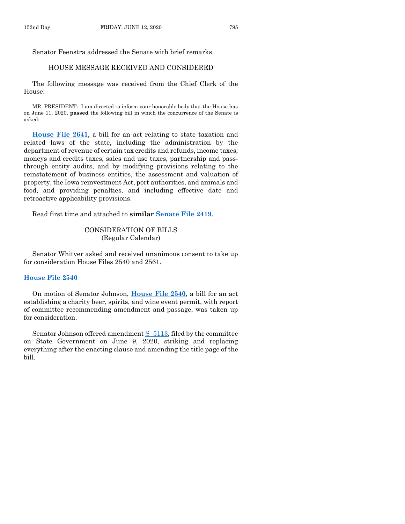Senator Feenstra addressed the Senate with brief remarks.

## HOUSE MESSAGE RECEIVED AND CONSIDERED

The following message was received from the Chief Clerk of the House:

MR. PRESIDENT: I am directed to inform your honorable body that the House has on June 11, 2020, **passed** the following bill in which the concurrence of the Senate is asked:

**[House File 2641](https://www.legis.iowa.gov/legislation/BillBook?ga=88&ba=HF2641)**, a bill for an act relating to state taxation and related laws of the state, including the administration by the department of revenue of certain tax credits and refunds, income taxes, moneys and credits taxes, sales and use taxes, partnership and passthrough entity audits, and by modifying provisions relating to the reinstatement of business entities, the assessment and valuation of property, the Iowa reinvestment Act, port authorities, and animals and food, and providing penalties, and including effective date and retroactive applicability provisions.

Read first time and attached to **similar [Senate File 2419](https://www.legis.iowa.gov/legislation/BillBook?ga=88&ba=SF2419)**.

## CONSIDERATION OF BILLS (Regular Calendar)

Senator Whitver asked and received unanimous consent to take up for consideration House Files 2540 and 2561.

#### **[House File 2540](https://www.legis.iowa.gov/legislation/BillBook?ga=88&ba=HF2540)**

On motion of Senator Johnson, **[House File 2540](https://www.legis.iowa.gov/legislation/BillBook?ga=88&ba=HF2540)**, a bill for an act establishing a charity beer, spirits, and wine event permit, with report of committee recommending amendment and passage, was taken up for consideration.

Senator Johnson offered amendment S–[5113,](https://www.legis.iowa.gov/legislation/BillBook?ga=88&ba=S5113) filed by the committee on State Government on June 9, 2020, striking and replacing everything after the enacting clause and amending the title page of the bill.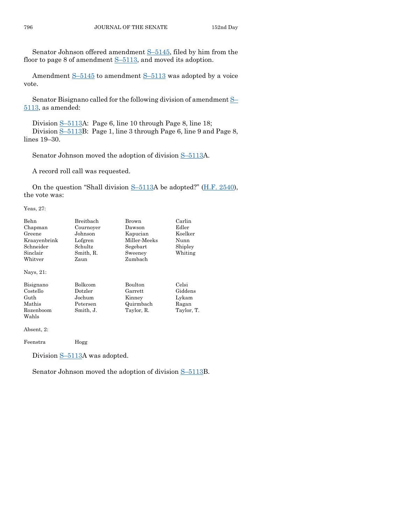Senator Johnson offered amendment S–[5145,](https://www.legis.iowa.gov/legislation/BillBook?ga=88&ba=S5145) filed by him from the floor to page 8 of amendment  $S-5113$ , and moved its adoption.

Amendment S-[5145](https://www.legis.iowa.gov/legislation/BillBook?ga=88&ba=S5145) to amendment S-[5113](https://www.legis.iowa.gov/legislation/BillBook?ga=88&ba=S5113) was adopted by a voice vote.

Senator Bisignano called for the following division of amendment [S](https://www.legis.iowa.gov/legislation/BillBook?ga=88&ba=S5113)– [5113,](https://www.legis.iowa.gov/legislation/BillBook?ga=88&ba=S5113) as amended:

Division S–[5113A](https://www.legis.iowa.gov/legislation/BillBook?ga=88&ba=S5113): Page 6, line 10 through Page 8, line 18; Division S–[5113B](https://www.legis.iowa.gov/legislation/BillBook?ga=88&ba=S5113): Page 1, line 3 through Page 6, line 9 and Page 8, lines 19–30.

Senator Johnson moved the adoption of division S-[5113A](https://www.legis.iowa.gov/legislation/BillBook?ga=88&ba=S5113).

A record roll call was requested.

On the question "Shall division  $S-5113A$  $S-5113A$  be adopted?" [\(H.F. 2540\)](https://www.legis.iowa.gov/legislation/BillBook?ga=88&ba=HF2540), the vote was:

Yeas, 27:

| Behn         | Breithach      | Brown          | Carlin     |
|--------------|----------------|----------------|------------|
| Chapman      | Cournoyer      | Dawson         | Edler      |
| Greene       | Johnson        | Kapucian       | Koelker    |
| Kraayenbrink | Lofgren        | Miller Meeks   | Nunn       |
| Schneider    | Schultz        | Segebart       | Shipley    |
| Sinclair     | Smith, R.      | Sweeney        | Whiting    |
| Whitver      | Zaun           | Zumbach        |            |
| Nays, 21:    |                |                |            |
| Bisignano    | <b>Bolkcom</b> | <b>Boulton</b> | Celsi      |
| Costello     | Dotzler        | Garrett        | Giddens    |
| Guth         | Jochum         | Kinney         | Lykam      |
| Mathis       | Petersen       | Quirmbach      | Ragan      |
| Rozenboom    | Smith, J.      | Taylor, R.     | Taylor, T. |
| Wahls        |                |                |            |
|              |                |                |            |

Absent, 2:

Feenstra Hogg

Division S-[5113A](https://www.legis.iowa.gov/legislation/BillBook?ga=88&ba=S5113) was adopted.

Senator Johnson moved the adoption of division S–[5113B](https://www.legis.iowa.gov/legislation/BillBook?ga=88&ba=S5113).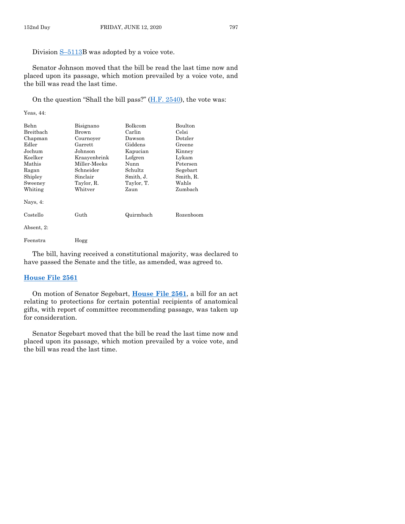Division S–[5113B](https://www.legis.iowa.gov/legislation/BillBook?ga=88&ba=S5113) was adopted by a voice vote.

Senator Johnson moved that the bill be read the last time now and placed upon its passage, which motion prevailed by a voice vote, and the bill was read the last time.

On the question "Shall the bill pass?" [\(H.F. 2540\)](https://www.legis.iowa.gov/legislation/BillBook?ga=88&ba=HF2540), the vote was:

Yeas, 44:

| Behn       | Bisignano    | Bolkcom    | Boulton   |
|------------|--------------|------------|-----------|
| Breitbach  | Brown        | Carlin     | Celsi     |
| Chapman    | Cournover    | Dawson     | Dotzler   |
| Edler      | Garrett      | Giddens    | Greene    |
| Jochum     | Johnson      | Kapucian   | Kinney    |
| Koelker    | Kraavenbrink | Lofgren    | Lykam     |
| Mathis     | Miller-Meeks | Nunn       | Petersen  |
| Ragan      | Schneider    | Schultz    | Segebart  |
| Shipley    | Sinclair     | Smith, J.  | Smith, R. |
| Sweeney    | Taylor, R.   | Taylor, T. | Wahls     |
| Whiting    | Whitver      | Zaun       | Zumbach   |
| Nays, 4:   |              |            |           |
| Costello   | Guth         | Quirmbach  | Rozenboom |
| Absent, 2: |              |            |           |
| Feenstra   | Hogg         |            |           |

The bill, having received a constitutional majority, was declared to have passed the Senate and the title, as amended, was agreed to.

#### **[House File 2561](https://www.legis.iowa.gov/legislation/BillBook?ga=88&ba=HF2561)**

On motion of Senator Segebart, **[House File 2561](https://www.legis.iowa.gov/legislation/BillBook?ga=88&ba=HF2561)**, a bill for an act relating to protections for certain potential recipients of anatomical gifts, with report of committee recommending passage, was taken up for consideration.

Senator Segebart moved that the bill be read the last time now and placed upon its passage, which motion prevailed by a voice vote, and the bill was read the last time.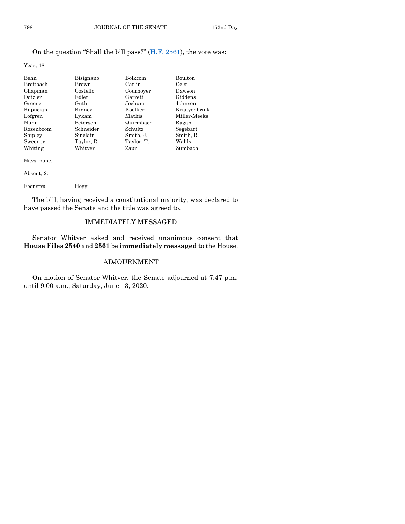## On the question "Shall the bill pass?" [\(H.F. 2561\)](https://www.legis.iowa.gov/legislation/BillBook?ga=88&ba=HF2561), the vote was:

Yeas, 48:

| <b>Behn</b> | Bisignano  | Bolkcom    | Boulton      |
|-------------|------------|------------|--------------|
| Breitbach   | Brown      | Carlin     | Celsi        |
| Chapman     | Costello   | Cournover  | Dawson       |
| Dotzler     | Edler      | Garrett    | Giddens      |
| Greene      | Guth       | Jochum     | Johnson      |
| Kapucian    | Kinney     | Koelker    | Kraayenbrink |
| Lofgren     | Lykam      | Mathis     | Miller-Meeks |
| Nunn        | Petersen   | Quirmbach  | Ragan        |
| Rozenboom   | Schneider  | Schultz    | Segebart     |
| Shipley     | Sinclair   | Smith, J.  | Smith, R.    |
| Sweeney     | Taylor, R. | Taylor, T. | Wahls        |
| Whiting     | Whitver    | Zaun       | Zumbach      |

Nays, none.

Absent, 2:

Feenstra Hogg

The bill, having received a constitutional majority, was declared to have passed the Senate and the title was agreed to.

## IMMEDIATELY MESSAGED

Senator Whitver asked and received unanimous consent that **House Files 2540** and **2561** be **immediately messaged** to the House.

## ADJOURNMENT

On motion of Senator Whitver, the Senate adjourned at 7:47 p.m. until 9:00 a.m., Saturday, June 13, 2020.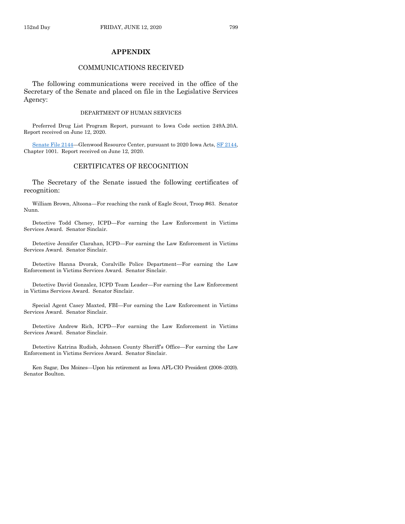## **APPENDIX**

## COMMUNICATIONS RECEIVED

The following communications were received in the office of the Secretary of the Senate and placed on file in the Legislative Services Agency:

#### DEPARTMENT OF HUMAN SERVICES

Preferred Drug List Program Report, pursuant to Iowa Code section 249A.20A. Report received on June 12, 2020.

[Senate File 2144](https://www.legis.iowa.gov/legislation/BillBook?ga=88&ba=SF2144)—Glenwood Resource Center, pursuant to 2020 Iowa Acts[, SF 2144,](https://www.legis.iowa.gov/legislation/BillBook?ga=88&ba=SF2144) Chapter 1001. Report received on June 12, 2020.

## CERTIFICATES OF RECOGNITION

The Secretary of the Senate issued the following certificates of recognition:

William Brown, Altoona—For reaching the rank of Eagle Scout, Troop #63. Senator Nunn.

Detective Todd Cheney, ICPD—For earning the Law Enforcement in Victims Services Award. Senator Sinclair.

Detective Jennifer Clarahan, ICPD—For earning the Law Enforcement in Victims Services Award. Senator Sinclair.

Detective Hanna Dvorak, Coralville Police Department—For earning the Law Enforcement in Victims Services Award. Senator Sinclair.

Detective David Gonzalez, ICPD Team Leader—For earning the Law Enforcement in Victims Services Award. Senator Sinclair.

Special Agent Casey Maxted, FBI—For earning the Law Enforcement in Victims Services Award. Senator Sinclair.

Detective Andrew Rich, ICPD—For earning the Law Enforcement in Victims Services Award. Senator Sinclair.

Detective Katrina Rudish, Johnson County Sheriff's Office—For earning the Law Enforcement in Victims Services Award. Senator Sinclair.

Ken Sagar, Des Moines—Upon his retirement as Iowa AFL-CIO President (2008–2020). Senator Boulton.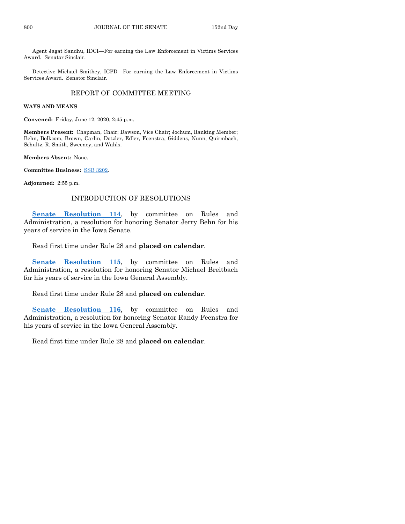Agent Jagat Sandhu, IDCI—For earning the Law Enforcement in Victims Services Award. Senator Sinclair.

Detective Michael Smithey, ICPD—For earning the Law Enforcement in Victims Services Award. Senator Sinclair.

## REPORT OF COMMITTEE MEETING

#### **WAYS AND MEANS**

**Convened:** Friday, June 12, 2020, 2:45 p.m.

**Members Present:** Chapman, Chair; Dawson, Vice Chair; Jochum, Ranking Member; Behn, Bolkcom, Brown, Carlin, Dotzler, Edler, Feenstra, Giddens, Nunn, Quirmbach, Schultz, R. Smith, Sweeney, and Wahls.

**Members Absent:** None.

**Committee Business:** [SSB 3202.](https://www.legis.iowa.gov/legislation/BillBook?ga=88&ba=SSB3202)

**Adjourned:** 2:55 p.m.

## INTRODUCTION OF RESOLUTIONS

[Senate Resolution 114](https://www.legis.iowa.gov/legislation/BillBook?ga=88&ba=SR114), by committee on Rules and Administration, a resolution for honoring Senator Jerry Behn for his years of service in the Iowa Senate.

Read first time under Rule 28 and **placed on calendar**.

[Senate Resolution 115](https://www.legis.iowa.gov/legislation/BillBook?ga=88&ba=SR115), by committee on Rules and Administration, a resolution for honoring Senator Michael Breitbach for his years of service in the Iowa General Assembly.

## Read first time under Rule 28 and **placed on calendar**.

**[Senate Resolution 116](https://www.legis.iowa.gov/legislation/BillBook?ga=88&ba=SR116)**, by committee on Rules and Administration, a resolution for honoring Senator Randy Feenstra for his years of service in the Iowa General Assembly.

Read first time under Rule 28 and **placed on calendar**.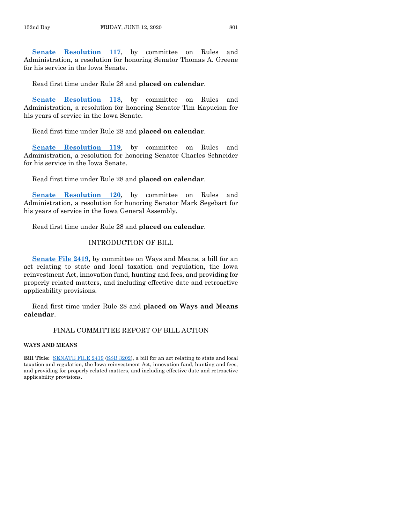[Senate Resolution 117](https://www.legis.iowa.gov/legislation/BillBook?ga=88&ba=SR117), by committee on Rules and Administration, a resolution for honoring Senator Thomas A. Greene for his service in the Iowa Senate.

Read first time under Rule 28 and **placed on calendar**.

**[Senate Resolution 118](https://www.legis.iowa.gov/legislation/BillBook?ga=88&ba=SR118)**, by committee on Rules and Administration, a resolution for honoring Senator Tim Kapucian for his years of service in the Iowa Senate.

Read first time under Rule 28 and **placed on calendar**.

**[Senate Resolution 119](https://www.legis.iowa.gov/legislation/BillBook?ga=88&ba=SR119)**, by committee on Rules and Administration, a resolution for honoring Senator Charles Schneider for his service in the Iowa Senate.

Read first time under Rule 28 and **placed on calendar**.

**[Senate Resolution 120](https://www.legis.iowa.gov/legislation/BillBook?ga=88&ba=SR120)**, by committee on Rules and Administration, a resolution for honoring Senator Mark Segebart for his years of service in the Iowa General Assembly.

Read first time under Rule 28 and **placed on calendar**.

## INTRODUCTION OF BILL

**[Senate File 2419](https://www.legis.iowa.gov/legislation/BillBook?ga=88&ba=SF2419)**, by committee on Ways and Means, a bill for an act relating to state and local taxation and regulation, the Iowa reinvestment Act, innovation fund, hunting and fees, and providing for properly related matters, and including effective date and retroactive applicability provisions.

Read first time under Rule 28 and **placed on Ways and Means calendar**.

## FINAL COMMITTEE REPORT OF BILL ACTION

#### **WAYS AND MEANS**

**Bill Title:** [SENATE FILE 2419](https://www.legis.iowa.gov/legislation/BillBook?ga=88&ba=SF2419) [\(SSB 3202\)](https://www.legis.iowa.gov/legislation/BillBook?ga=88&ba=SSB3202), a bill for an act relating to state and local taxation and regulation, the Iowa reinvestment Act, innovation fund, hunting and fees, and providing for properly related matters, and including effective date and retroactive applicability provisions.